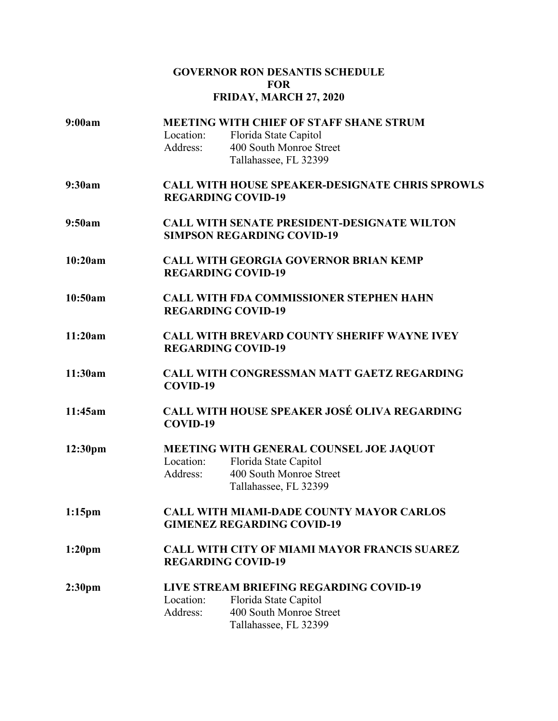## **GOVERNOR RON DESANTIS SCHEDULE FOR FRIDAY, MARCH 27, 2020**

| 9:00am             | Location:<br>Address:                                                                   | <b>MEETING WITH CHIEF OF STAFF SHANE STRUM</b><br>Florida State Capitol<br>400 South Monroe Street<br>Tallahassee, FL 32399 |  |
|--------------------|-----------------------------------------------------------------------------------------|-----------------------------------------------------------------------------------------------------------------------------|--|
| 9:30am             | <b>CALL WITH HOUSE SPEAKER-DESIGNATE CHRIS SPROWLS</b><br><b>REGARDING COVID-19</b>     |                                                                                                                             |  |
| 9:50am             | <b>CALL WITH SENATE PRESIDENT-DESIGNATE WILTON</b><br><b>SIMPSON REGARDING COVID-19</b> |                                                                                                                             |  |
| 10:20am            | <b>CALL WITH GEORGIA GOVERNOR BRIAN KEMP</b><br><b>REGARDING COVID-19</b>               |                                                                                                                             |  |
| 10:50am            | <b>CALL WITH FDA COMMISSIONER STEPHEN HAHN</b><br><b>REGARDING COVID-19</b>             |                                                                                                                             |  |
| 11:20am            | <b>CALL WITH BREVARD COUNTY SHERIFF WAYNE IVEY</b><br><b>REGARDING COVID-19</b>         |                                                                                                                             |  |
| 11:30am            | <b>CALL WITH CONGRESSMAN MATT GAETZ REGARDING</b><br>COVID-19                           |                                                                                                                             |  |
| 11:45am            | CALL WITH HOUSE SPEAKER JOSÉ OLIVA REGARDING<br>COVID-19                                |                                                                                                                             |  |
| 12:30pm            | Location:<br>Address:                                                                   | MEETING WITH GENERAL COUNSEL JOE JAQUOT<br>Florida State Capitol<br>400 South Monroe Street<br>Tallahassee, FL 32399        |  |
| $1:15$ pm          | <b>CALL WITH MIAMI-DADE COUNTY MAYOR CARLOS</b><br><b>GIMENEZ REGARDING COVID-19</b>    |                                                                                                                             |  |
| 1:20 <sub>pm</sub> | <b>CALL WITH CITY OF MIAMI MAYOR FRANCIS SUAREZ</b><br><b>REGARDING COVID-19</b>        |                                                                                                                             |  |
| 2:30 <sub>pm</sub> | Location:<br>Address:                                                                   | <b>LIVE STREAM BRIEFING REGARDING COVID-19</b><br>Florida State Capitol<br>400 South Monroe Street<br>Tallahassee, FL 32399 |  |